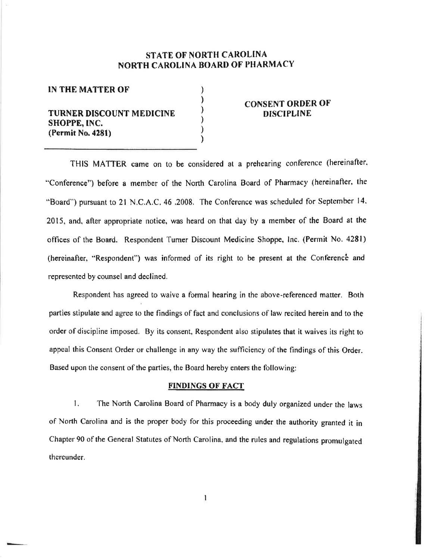## STATE OT NORTH CAROLINA NORTH CAROLINA BOARD OF PHARMACY

) ) ) ) ) )

### IN THE MATTER OF

# TURNER DISCOUNT MEDICINE SHOPPE, INC. (Permit No.428l)

### **CONSENT ORDER OF DISCIPLINE**

THIS MATTER came on to be considered at a prehearing conference (hereinafter. "Conference") before a member of the North Carolina Board of Pharmacy {hereinafler, the "Board") pursuant to 21 N.C.A.C, 46 .2008. The Conference was scheduled for September 14. 2015, and, after appropriate notice, was heard on that day by a member of the Board åt the offîces of the Board. Respondent Turner Discount Medicine Shoppe, lnc. (Perrnit No.428l) (hereinafter, "Respondent") was informed of its right to be present at the Conference and represented by counscl and declined,

Respondent has agreed to waive a formal hearing in the above-referenced matter. Both parties stipulate and agree to the findings of fact and conclusions of law recited herein and to the order of discipline imposed, By its consent, Respondent also stipulates that it waives its right to appeal this Consent Order or challenge in any way the sufäciency of the findings of this Order. Based upon the consent of the parties, the Board hereby enters the following:

### FINDINGS OF FACT

1. The North Carolina Board of Pharmacy is a body duly organized under the laws of North Carolina and is the proper body for this proceeding under the authority granted it in Chapter 90 of the General Statutes of North Carolina, and the rules and regulations promulgated thereunder.

1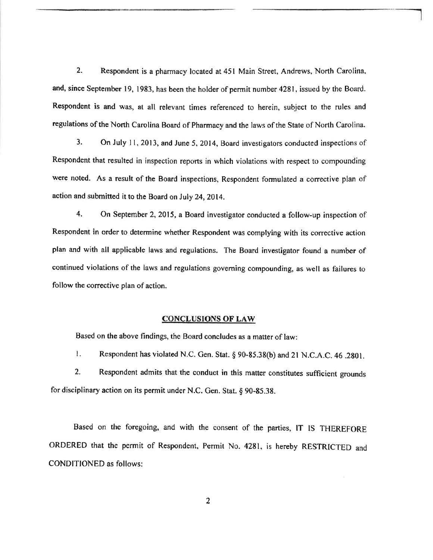2, Respondent is a pharmacy located ât 451 Main Street, Andrews, North Carolina, and, since September 19. 1983, has been the holder of permit number 4281, issued by the Board. Respondent is and was, at all relevant times referenced to herein, subject to the rules and regulations of the North Carolina Board of Pharmacy and the laws of the State of North Carolina.

3. On July ll, 2013, and June 5, 2014, Board investigators conducted inspections of Respondent that resulted in inspection reporrs in which violations with respect to compounding were noted. As a result of the Board inspections, Respondent formulated a corrective plan of action and submitted it to the Board on July 24,2014.

4. On September 2, 2015, a Board investigator.conducted a follow-up inspection of Respondent in order to determine whether Respondent was complying with its corrective action plan and with all applicable laws and regulations. The Board investigator found a number of continued violations of the laws and regulations goveming compounding, as well as failures to follow the corrective plan of action.

### CONCLUSIONS OF LAW

Based on the above findings, the Board concludes as a matter of law:

I. Respondent has violated N.C. Gen. Stat. § 90-85.38(b) and 21 N.C.A.C. 46 .2801.

2. Respondent admits that the conduct in this matter constitutes sufficient grounds for disciplinary action on its permit under N.C. Gen. Stat.  $§$  90-85.38.

Based on the foregoing, and with the consent of the parties, tT lS THEREFORE ORDERED that the permit of Respondent, Permit No. 4281, is hereby RESTRICTED and CONDITIONED as follows: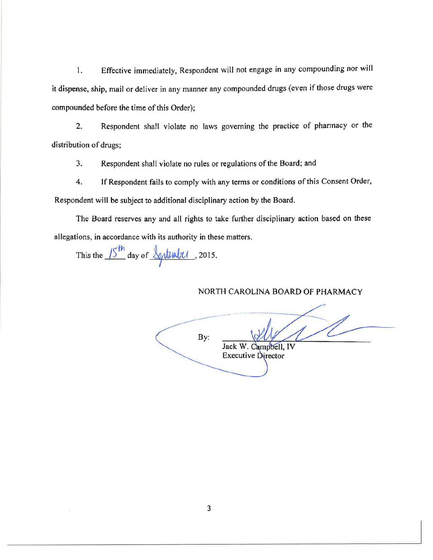1. Effective imrnediately, Respondent will not engage in any compounding nor will it dispense, ship, mail or deliver in any manner any compounded drugs (even if those drugs were compounded before the time of this Order);

Z. Respondent shall violate no laws governing the practice of pharmacy or the distribution of drugs;

3. Respondent shall violate no rules or regulations of the Board; and

4. If Respondent fails to comply with any terms or conditions of this Consent Order,

Respondent will be subject to additional disciplinary action by the Board.

The Board reserves any and all rights to take further disciplinary action based on these allegations, in accordance with its authority in these matters.

This the  $\sqrt{2}$  day of  $\overline{T}$  $\frac{1}{2}$ , 2015

NORTH CAROLINA BOARD OF PHARMACY

By:

Jack W. Campbell, IV **Executive Director**